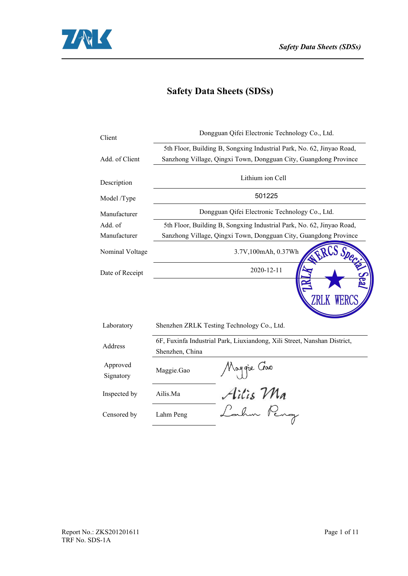

# **Safety Data Sheets (SDSs)**

|                 | Dongguan Qifei Electronic Technology Co., Ltd.                           |
|-----------------|--------------------------------------------------------------------------|
|                 | 5th Floor, Building B, Songxing Industrial Park, No. 62, Jinyao Road,    |
|                 | Sanzhong Village, Qingxi Town, Dongguan City, Guangdong Province         |
|                 | Lithium ion Cell                                                         |
|                 | 501225                                                                   |
|                 | Dongguan Qifei Electronic Technology Co., Ltd.                           |
|                 | 5th Floor, Building B, Songxing Industrial Park, No. 62, Jinyao Road,    |
|                 | Sanzhong Village, Qingxi Town, Dongguan City, Guangdong Province         |
|                 | 3.7V,100mAh, 0.37Wh                                                      |
|                 | 2020-12-11                                                               |
|                 | Shenzhen ZRLK Testing Technology Co., Ltd.                               |
| Shenzhen, China | 6F, Fuxinfa Industrial Park, Liuxiandong, Xili Street, Nanshan District, |
| Maggie.Gao      | Moggie Goo<br>Ailis Ma<br>Lahm Peng                                      |
| Ailis.Ma        |                                                                          |
| Lahm Peng       |                                                                          |
|                 |                                                                          |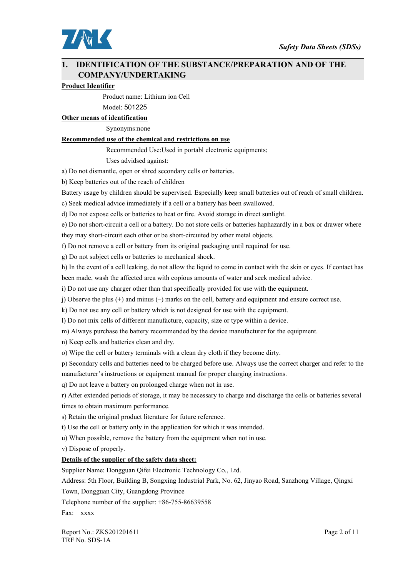

# **1. IDENTIFICATION OF THE SUBSTANCE/PREPARATION AND OF THE COMPANY/UNDERTAKING**

### **Product Identifier**

Product name: Lithium ion Cell

Model: 501225

**Other** means of identification

Synonyms:none

## **Recommended use of the chemical and restrictions on use**

Recommended Use:Used in portabl electronic equipments;

Uses advidsed against:

a) Do not dismantle, open or shred secondary cells or batteries.

b) Keep batteries out of the reach of children

Battery usage by children should be supervised. Especially keep small batteries out of reach of small children.

c) Seek medical advice immediately if a cell or a battery has been swallowed.

d) Do not expose cells or batteries to heat or fire. Avoid storage in direct sunlight.

e) Do not short-circuit a cell or a battery. Do not store cells orbatteries haphazardly in a box or drawer where they may short-circuit each other or be short-circuited by other metal objects.

f) Do not remove a cell or battery from its original packaging until required for use.

g) Do not subject cells or batteries to mechanical shock.

h) In the event of a cell leaking, do not allow the liquid to come in contact with the skin or eyes. If contact has been made, wash the affected area with copious amounts of water and seek medical advice.

i) Do not use any charger other than that specifically provided for use with the equipment.

j) Observe the plus (+) and minus (–) marks on the cell, battery and equipment and ensure correct use.

k) Do not use any cell or battery which is not designed for use with the equipment.

l) Do not mix cells of different manufacture, capacity, size or type within a device.

m) Always purchase the battery recommended by the device manufacturer for the equipment.

n) Keep cells and batteries clean and dry.

o) Wipe the cell or battery terminals with a clean dry cloth if they become dirty.

p) Secondary cellsand batteries need to be charged before use. Always use the correct charger and refer to the manufacturer's instructions or equipment manual for proper charging instructions.

q) Do not leave a battery on prolonged charge when not in use.

r) After extended periods of storage, it may be necessary to charge and discharge the cells orbatteries several times to obtain maximum performance.

s) Retain the original product literature for future reference.

t) Use the cell or battery only in the application for which it was intended.

u) When possible, remove the battery from the equipment when not in use.

v) Dispose of properly.

## **Details** of the supplier of the safety data sheet:

Supplier Name: Dongguan Qifei Electronic Technology Co., Ltd.

Address: 5th Floor, Building B, Songxing Industrial Park, No. 62, Jinyao Road, Sanzhong Village, Qingxi

Town, Dongguan City, Guangdong Province

Telephone number of the supplier: +86-755-86639558

Fax: xxxx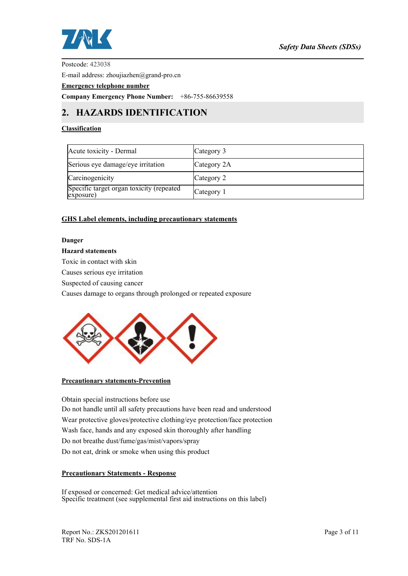

Postcode: 423038

E-mail address: zhoujiazhen@grand-pro.cn

**Emergency telephone number**

**Company Emergency Phone Number:** +86-755-86639558

# **2. HAZARDS IDENTIFICATION**

## **Classification**

| Acute toxicity - Dermal                               | Category 3  |
|-------------------------------------------------------|-------------|
| Serious eye damage/eye irritation                     | Category 2A |
| Carcinogenicity                                       | Category 2  |
| Specific target organ toxicity (repeated<br>exposure) | Category 1  |

## **GHS Label elements, including precautionary statements**

### **Danger**

# **Hazard statements**

Toxic in contact with skin

Causes serious eye irritation

Suspected of causing cancer

Causes damage to organs through prolonged or repeated exposure



## **Precautionary statements-Prevention**

Obtain special instructions before use Do not handle until all safety precautions have been read and understood Wear protective gloves/protective clothing/eye protection/face protection Wash face, hands and any exposed skin thoroughly after handling Do not breathe dust/fume/gas/mist/vapors/spray Do not eat, drink or smoke when using this product

## **Precautionary Statements - Response**

If exposed or concerned: Get medical advice/attention Specific treatment (see supplemental first aid instructions on this label)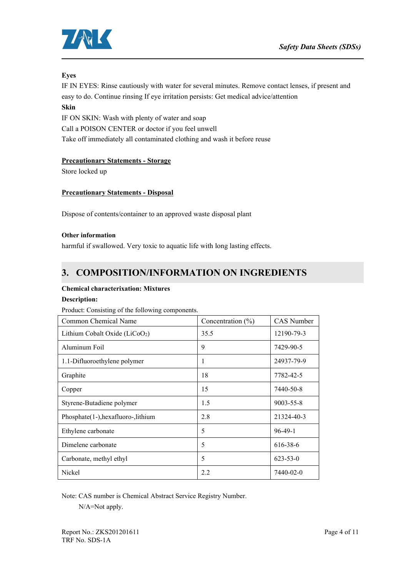

## **Eyes**

IF IN EYES: Rinse cautiously with water for several minutes. Remove contact lenses, if present and easy to do. Continue rinsing If eye irritation persists: Get medical advice/attention

# **Skin**

IF ON SKIN: Wash with plenty of water and soap Call a POISON CENTER or doctor if you feel unwell Take off immediately all contaminated clothing and wash it before reuse

## **Precautionary Statements - Storage**

Store locked up

## **Precautionary Statements - Disposal**

Dispose of contents/container to an approved waste disposal plant

### **Other information**

harmful if swallowed. Very toxic to aquatic life with long lasting effects.

# **3. COMPOSITION/INFORMATION ON INGREDIENTS**

## **Chemical characterixation: Mixtures**

## **Description:**

Product: Consisting of the following components.

| Common Chemical Name                       | Concentration $(\% )$ | CAS Number      |
|--------------------------------------------|-----------------------|-----------------|
| Lithium Cobalt Oxide (LiCoO <sub>2</sub> ) | 35.5                  | 12190-79-3      |
| Aluminum Foil                              | 9                     | 7429-90-5       |
| 1.1-Difluoroethylene polymer               | 1                     | 24937-79-9      |
| Graphite                                   | 18                    | 7782-42-5       |
| Copper                                     | 15                    | 7440-50-8       |
| Styrene-Butadiene polymer                  | 1.5                   | $9003 - 55 - 8$ |
| Phosphate(1-), hexafluoro-, lithium        | 2.8                   | 21324-40-3      |
| Ethylene carbonate                         | 5                     | $96-49-1$       |
| Dimelene carbonate                         | 5                     | 616-38-6        |
| Carbonate, methyl ethyl                    | 5                     | $623 - 53 - 0$  |
| Nickel                                     | 2.2                   | 7440-02-0       |

Note: CAS number is Chemical Abstract Service Registry Number.

N/A=Not apply.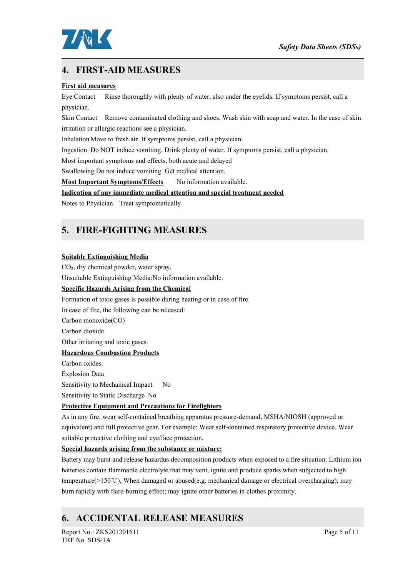

# **4. FIRST-AID MEASURES**

## **First aid measures**

Eye Contact Rinse thoroughly with plenty of water, also under the eyelids. If symptoms persist, call a physician.

Skin Contact Remove contaminated clothing and shoes. Wash skin with soap and water. In the case of skin irritation or allergic reactions see a physician.

Inhalation Move to fresh air. If symptoms persist, call a physician.

Ingestion Do NOT induce vomiting. Drink plenty of water. If symptoms persist, call a physician.

Most important symptoms and effects, both acute and delayed

Swallowing Do not induce vomiting. Get medical attention.

**Most Important Symptoms/Effects** No information available.

## **Indication of any immediate medical attention and special treatment needed**

Notes to Physician Treat symptomatically

# **5. FIRE-FIGHTING MEASURES**

### **Suitable Extinguishing Media**

CO2, dry chemical powder, water spray.

Unsuitable Extinguishing Media:No information available.

## **Specific Hazards Arising from the Chemical**

Formation of toxic gases is possible during heating or in case of fire.

In case of fire, the following can be released:

Carbon monoxide(CO)

Carbon dioxide

Other irritating and toxic gases.

# **Hazardous Combustion Products**

Carbon oxides. Explosion Data Sensitivity to Mechanical Impact No Sensitivity to Static Discharge No

## **Protective Equipment and Precautions for Firefighters**

As in any fire, wear self-contained breathing apparatus pressure-demand, MSHA/NIOSH (approved or equivalent) and full protective gear. For example: Wear self-contained respiratory protective device. Wear suitable protective clothing and eye/face protection.

## **Special hazards arising from the substance or mixture:**

Battery may burstand release hazardus decomposition products when exposed to a fire situation. Lithium ion batteries contain flammable electrolyte that may vent, ignite and produce sparks when subjected to high temperature(>150℃), When damaged or abused(e.g. mechanical damage or electrical overcharging); may burn rapidly with flare-burning effect; may ignite other batteries in clothes proximity.

# **6. ACCIDENTAL RELEASE MEASURES**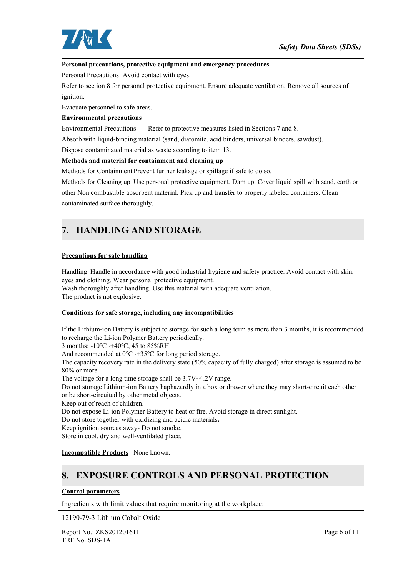

### **Personal precautions, protective equipment and emergency procedures**

Personal Precautions Avoid contact with eyes.

Refer to section 8 for personal protective equipment. Ensure adequate ventilation. Remove all sources of ignition.

Evacuate personnel to safe areas.

## **Environmental precautions**

Environmental Precautions Refer to protective measures listed in Sections 7 and 8.

Absorb with liquid-binding material (sand, diatomite, acid binders, universal binders, sawdust).

Dispose contaminated material as waste according to item 13.

### **Methods and material for containment and cleaning up**

Methods for Containment Prevent further leakage or spillage if safe to do so.<br>Methods for Cleaning up Use personal protective equipment. Dam up. Cover liquid spill with sand, earth or other Non combustible absorbent material. Pick up and transfer to properly labeled containers. Clean contaminated surface thoroughly.

# **7. HANDLING AND STORAGE**

#### **Precautions for safe handling**

Handling Handle in accordance with good industrial hygiene and safety practice. Avoid contact with skin, eyes and clothing. Wear personal protective equipment. Wash thoroughly after handling. Use this material with adequate ventilation.

The product is not explosive.

#### **Conditions for safe storage, including any incompatibilities**

If the Lithium-ion Battery is subject to storage for such a long term as more than 3 months, it is recommended to recharge the Li-ion Polymer Battery periodically.

3 months: -10℃~+40℃, 45 to 85%RH

And recommended at 0℃~+35℃ for long period storage.

The capacity recovery rate in the delivery state (50% capacity of fully charged) after storage is assumed to be 80% or more.

The voltage for a long time storage shall be 3.7V~4.2V range.

Do not storage Lithium-ion Battery haphazardly in a box or drawer where they may short-circuit each other or be short-circuited by other metal objects.

Keep out of reach of children.

Do not expose Li-ion Polymer Battery to heat or fire. Avoid storage in direct sunlight.

Do not store together with oxidizing and acidic materials**.**

Keep ignition sources away- Do not smoke.

Store in cool, dry and well-ventilated place.

**Incompatible Products** None known.

# **8. EXPOSURE CONTROLS AND PERSONAL PROTECTION**

#### **Control parameters**

Ingredients with limit values that require monitoring at the workplace:

12190-79-3 Lithium Cobalt Oxide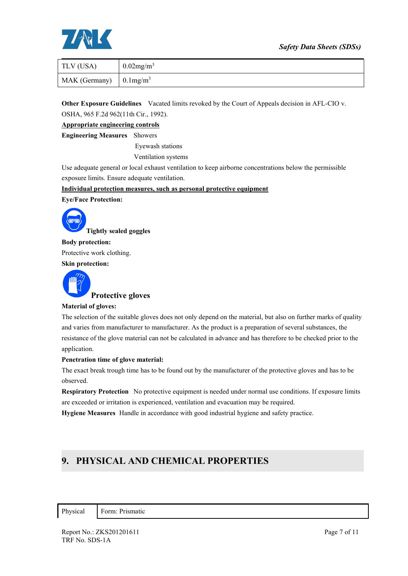# *Safety Data Sheets (SDSs)*



| TLV (USA)     | $0.02$ mg/m <sup>3</sup>     |
|---------------|------------------------------|
| MAK (Germany) | $\sim 0.1$ mg/m <sup>3</sup> |

**Other Exposure Guidelines** Vacated limits revoked by the Court of Appeals decision in AFL-CIO v. OSHA, 965 F.2d 962(11th Cir., 1992).

**Appropriate engineering controls**

**Engineering Measures** Showers

Eyewash stations

Ventilation systems

Use adequate general or local exhaust ventilation to keep airborne concentrations below the permissible exposure limits. Ensure adequate ventilation.

**Individual protection measures, such as personal protective equipment**

**Eye/Face Protection:**



**Body protection:** Protective work clothing. **Skin protection:**



**Protective gloves**

#### **Material of gloves:**

The selection of the suitable gloves does not only depend on the material, but also on further marks of quality and varies from manufacturer to manufacturer. As the product is a preparation of several substances, the resistance of the glove material can not be calculated in advance and has therefore to be checked prior to the application.

#### **Penetration timeof glove material:**

The exact break trough time has to be found out by the manufacturer of the protective gloves and has to be observed.

**Respiratory Protection** No protective equipment is needed under normal use conditions. If exposure limits are exceeded or irritation is experienced, ventilation and evacuation may be required.

**Hygiene Measures** Handle in accordance with good industrial hygiene and safety practice.

# **9. PHYSICAL AND CHEMICAL PROPERTIES**

Physical Form: Prismatic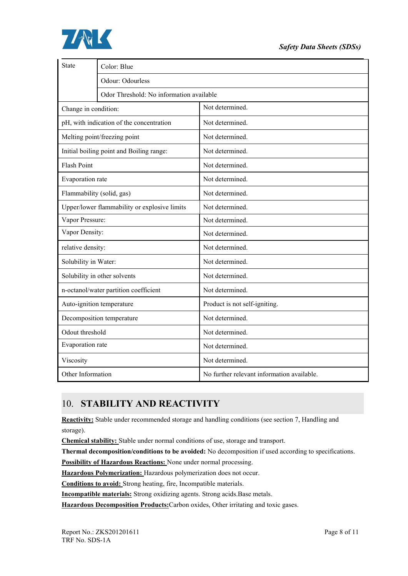

| State                     | Color: Blue                                  |                                            |  |  |  |  |
|---------------------------|----------------------------------------------|--------------------------------------------|--|--|--|--|
|                           | Odour: Odourless                             |                                            |  |  |  |  |
|                           | Odor Threshold: No information available     |                                            |  |  |  |  |
| Change in condition:      |                                              | Not determined.                            |  |  |  |  |
|                           | pH, with indication of the concentration     | Not determined.                            |  |  |  |  |
|                           | Melting point/freezing point                 | Not determined.                            |  |  |  |  |
|                           | Initial boiling point and Boiling range:     | Not determined.                            |  |  |  |  |
| <b>Flash Point</b>        |                                              | Not determined.                            |  |  |  |  |
| Evaporation rate          |                                              | Not determined.                            |  |  |  |  |
| Flammability (solid, gas) |                                              | Not determined.                            |  |  |  |  |
|                           | Upper/lower flammability or explosive limits | Not determined.                            |  |  |  |  |
| Vapor Pressure:           |                                              | Not determined.                            |  |  |  |  |
| Vapor Density:            |                                              | Not determined.                            |  |  |  |  |
| relative density:         |                                              | Not determined.                            |  |  |  |  |
| Solubility in Water:      |                                              | Not determined.                            |  |  |  |  |
|                           | Solubility in other solvents                 | Not determined.                            |  |  |  |  |
|                           | n-octanol/water partition coefficient        | Not determined.                            |  |  |  |  |
| Auto-ignition temperature |                                              | Product is not self-igniting.              |  |  |  |  |
|                           | Decomposition temperature                    | Not determined.                            |  |  |  |  |
| Odout threshold           |                                              | Not determined.                            |  |  |  |  |
| Evaporation rate          |                                              | Not determined.                            |  |  |  |  |
| Viscosity                 |                                              | Not determined.                            |  |  |  |  |
| Other Information         |                                              | No further relevant information available. |  |  |  |  |

# 10. **STABILITY AND REACTIVITY**

**Reactivity:** Stable under recommended storage and handling conditions (see section 7, Handling and storage).

**Chemical stability:** Stable under normal conditions of use, storage and transport.

**Thermal decomposition/conditions to be avoided:** No decomposition if used according to specifications.

**Possibility of Hazardous Reactions:** None under normal processing.

**Hazardous Polymerization:** Hazardous polymerization doesnot occur.

**Conditions to avoid:** Strong heating, fire, Incompatible materials.

**Incompatible materials:** Strong oxidizing agents. Strong acids.Base metals.

**Hazardous Decomposition Products:**Carbon oxides, Other irritating and toxic gases.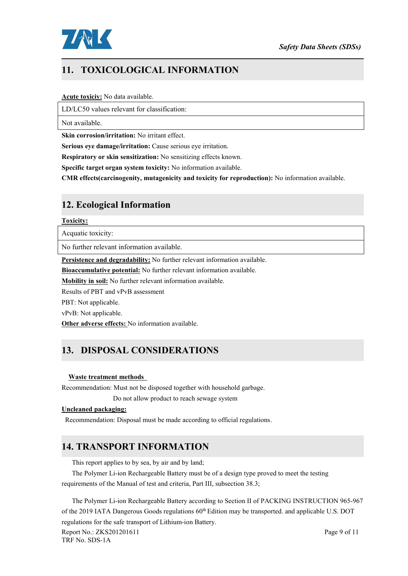

# **11. TOXICOLOGICAL INFORMATION**

#### **Acute toxiciy:** No data available.

LD/LC50 values relevant for classification:

Not available.

**Skin corrosion/irritation:** No irritant effect.

**Serious eye damage/irritation:** Cause serious eye irritation.

**Respiratory or skin sensitization:** No sensitizing effects known.

**Specific target organ system toxicity:** No information available.

**CMR effects(carcinogenity, mutagenicity and toxicity for reproduction):** No information available.

# **12. Ecological Information**

#### **Toxicity:**

Acquatic toxicity:

No further relevant information available.

**Persistence and degradability:** No further relevant information available.

**Bioaccumulative potential:** No further relevant information available.

**Mobility in soil:**No further relevant information available.

Results of PBT and vPvB assessment

PBT: Not applicable.

vPvB: Not applicable.

**Other adverse effects:** No information available.

# **13. DISPOSAL CONSIDERATIONS**

#### **Waste treatment methods**

Recommendation: Must not be disposed together with household garbage.

Do not allow product to reach sewage system

#### **Uncleaned packaging:**

Recommendation: Disposal must be made according to official regulations.

# **14. TRANSPORT INFORMATION**

This report applies to by sea, by air and by land;

The Polymer Li-ion Rechargeable Battery must be of a design type proved to meet the testing requirements of the Manual of test and criteria, Part III, subsection 38.3;

The Polymer Li-ion Rechargeable Battery according to Section II of PACKING INSTRUCTION 965-967 of the 2019 IATA Dangerous Goods regulations 60<sup>th</sup> Edition may be transported. and applicable U.S. DOT regulations for the safe transport of Lithium-ion Battery.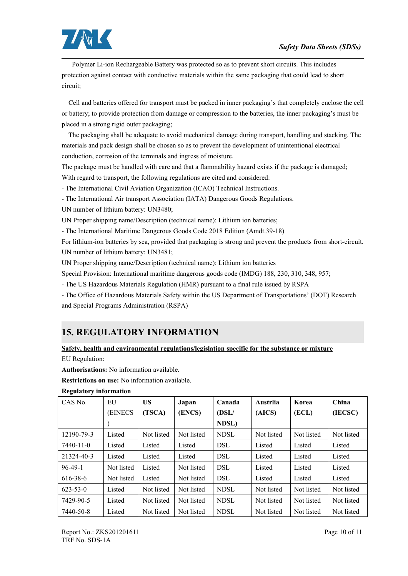

Polymer Li-ion Rechargeable Battery was protected so as to prevent short circuits. This includes protection against contact with conductive materials within the same packaging that could lead to short circuit;

Cell and batteries offered for transport must be packed in inner packaging's that completely enclose the cell or battery; to provide protection from damage or compression to the batteries, the inner packaging's must be placed in a strong rigid outer packaging;

The packaging shall be adequate to avoid mechanical damage during transport, handling and stacking. The materials and pack design shall be chosen so as to prevent the development of unintentional electrical conduction, corrosion of the terminals and ingress of moisture.

The package must be handled with care and that a flammability hazard exists if the package is damaged; With regard to transport, the following regulations are cited and considered:

- The International Civil Aviation Organization (ICAO) Technical Instructions.

- The International Air transport Association (IATA) Dangerous Goods Regulations.

UN number of lithium battery: UN3480;

UN Proper shipping name/Description (technical name): Lithium ion batteries;

- The International Maritime Dangerous Goods Code 2018 Edition (Amdt.39-18)

For lithium-ion batteries by sea, provided that packaging is strong and prevent the products from short-circuit. UN number of lithium battery: UN3481;

UN Proper shipping name/Description (technical name): Lithium ion batteries

Special Provision: International maritime dangerous goods code (IMDG) 188, 230, 310, 348, 957;

- The US Hazardous Materials Regulation (HMR) pursuant to a final rule issued by RSPA

- The Office of Hazardous Materials Safety within the US Department of Transportations' (DOT) Research and Special Programs Administration (RSPA)

# **15. REGULATORY INFORMATION**

**Safety, health and environmental regulations/legislation specific for the substance or mixture** EU Regulation:

**Authorisations:** No information available.

**Restrictions on use:** No information available.

| CAS No.        | EU         | <b>US</b>  | Japan      | Canada      | Austrlia   | Korea      | China      |
|----------------|------------|------------|------------|-------------|------------|------------|------------|
|                | (EINECS    | (TSCA)     | (ENCS)     | (DSL/       | (AICS)     | (ECL)      | (IECSC)    |
|                |            |            |            | NDSL)       |            |            |            |
| 12190-79-3     | Listed     | Not listed | Not listed | <b>NDSL</b> | Not listed | Not listed | Not listed |
| 7440-11-0      | Listed     | Listed     | Listed     | <b>DSL</b>  | Listed     | Listed     | Listed     |
| 21324-40-3     | Listed     | Listed     | Listed     | <b>DSL</b>  | Listed     | Listed     | Listed     |
| $96-49-1$      | Not listed | Listed     | Not listed | <b>DSL</b>  | Listed     | Listed     | Listed     |
| 616-38-6       | Not listed | Listed     | Not listed | <b>DSL</b>  | Listed     | Listed     | Listed     |
| $623 - 53 - 0$ | Listed     | Not listed | Not listed | <b>NDSL</b> | Not listed | Not listed | Not listed |
| 7429-90-5      | Listed     | Not listed | Not listed | <b>NDSL</b> | Not listed | Not listed | Not listed |
| 7440-50-8      | Listed     | Not listed | Not listed | <b>NDSL</b> | Not listed | Not listed | Not listed |

## **Regulatory information**